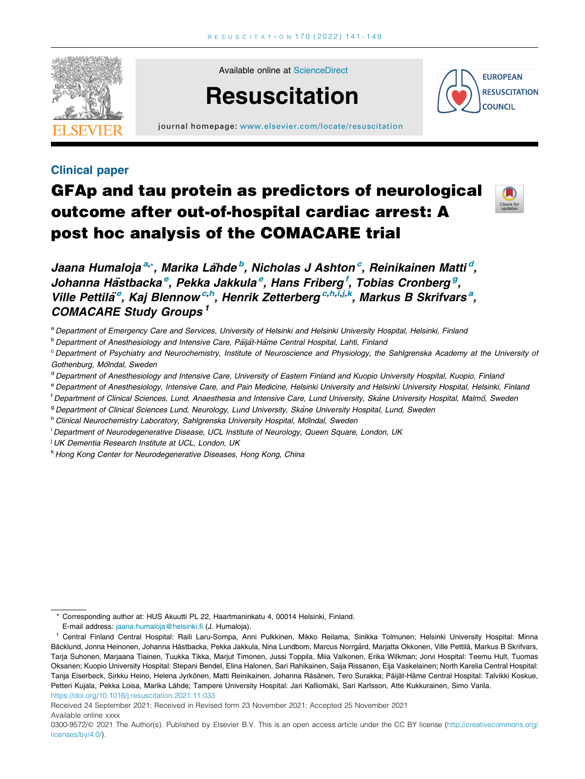

Available online at [ScienceDirect](http://www.sciencedirect.com/science/journal/03009572)

# **Resuscitation**



journal homepage: [www.elsevier.com/locate/resuscitation](http://www.elsevier.com/locate/resuscitation)

### Clinical paper

## GFAp and tau protein as predictors of neurological outcome after out-of-hospital cardiac arrest: A post hoc analysis of the COMACARE trial



Jaana Humaloja<sup>a,</sup>\*, Marika Lähde<sup>b</sup>, Nicholas J Ashton<sup>c</sup>, Reinikainen Matti<sup>d</sup>, Johanna Hästbacka<sup>e</sup>, Pekka Jakkula<sup>e</sup>, Hans Friberg<sup> f</sup>, Tobias Cronberg<sup>g</sup>, Ville Pettilä<sup>e</sup>, Kaj Blennow<sup>c,h</sup>, Henrik Zetterberg<sup>c,h,i,j,k</sup>, Markus B Skrifvars<sup>a</sup>, COMACARE Study Groups <sup>1</sup>

a Department of Emergency Care and Services, University of Helsinki and Helsinki University Hospital, Helsinki, Finland

<sup>b</sup> Department of Anesthesiology and Intensive Care, Päijät-Häme Central Hospital, Lahti, Finland

<sup>c</sup> Department of Psychiatry and Neurochemistry, Institute of Neuroscience and Physiology, the Sahlgrenska Academy at the University of Gothenburg, Mölndal, Sweden

- <sup>d</sup> Department of Anesthesiology and Intensive Care, University of Eastern Finland and Kuopio University Hospital, Kuopio, Finland
- <sup>e</sup> Department of Anesthesiology, Intensive Care, and Pain Medicine, Helsinki University and Helsinki University Hospital, Helsinki, Finland
- <sup>t</sup> Department of Clinical Sciences, Lund, Anaesthesia and Intensive Care, Lund University, Skåne University Hospital, Malmö, Sweden
- <sup>g</sup> Department of Clinical Sciences Lund, Neurology, Lund University, Skane University Hospital, Lund, Sweden

h Clinical Neurochemistry Laboratory, Sahlgrenska University Hospital, Mölndal, Sweden

<sup>i</sup> Department of Neurodegenerative Disease, UCL Institute of Neurology, Queen Square, London, UK

<sup>i</sup> UK Dementia Research Institute at UCL, London, UK

<sup>k</sup> Hong Kong Center for Neurodegenerative Diseases, Hong Kong, China

Available online xxxx

<sup>\*</sup> Corresponding author at: HUS Akuutti PL 22, Haartmaninkatu 4, 00014 Helsinki, Finland.

E-mail address: [jaana.humaloja@helsinki.fi](mailto:jaana.humaloja@helsinki.fi) (J. Humaloja).

<https://doi.org/10.1016/j.resuscitation.2021.11.033> <sup>1</sup> Central Finland Central Hospital: Raili Laru-Sompa, Anni Pulkkinen, Mikko Reilama, Sinikka Tolmunen; Helsinki University Hospital: Minna Bäcklund, Jonna Heinonen, Johanna Hästbacka, Pekka Jakkula, Nina Lundbom, Marcus Norrgård, Marjatta Okkonen, Ville Pettilä, Markus B Skrifvars, Tarja Suhonen, Marjaana Tiainen, Tuukka Tikka, Marjut Timonen, Jussi Toppila, Miia Valkonen, Erika Wilkman; Jorvi Hospital: Teemu Hult, Tuomas Oksanen; Kuopio University Hospital: Stepani Bendel, Elina Halonen, Sari Rahikainen, Saija Rissanen, Eija Vaskelainen; North Karelia Central Hospital: Tanja Eiserbeck, Sirkku Heino, Helena Jyrkönen, Matti Reinikainen, Johanna Räsänen, Tero Surakka; Päijät-Häme Central Hospital: Talvikki Koskue, Petteri Kujala, Pekka Loisa, Marika Lähde; Tampere University Hospital: Jari Kalliomäki, Sari Karlsson, Atte Kukkurainen, Simo Varila.

Received 24 September 2021; Received in Revised form 23 November 2021; Accepted 25 November 2021

<sup>0300-9572/@ 2021</sup> The Author(s). Published by Elsevier B.V. This is an open access article under the CC BY license [\(http://creativecommons.org/](http://creativecommons.org/licenses/by/4.0/) [licenses/by/4.0/](http://creativecommons.org/licenses/by/4.0/)).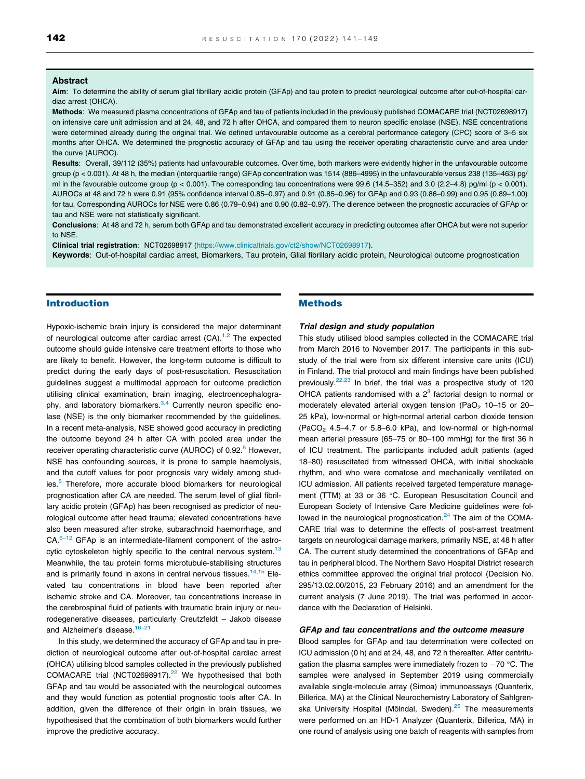#### Abstract

Aim: To determine the ability of serum glial fibrillary acidic protein (GFAp) and tau protein to predict neurological outcome after out-of-hospital cardiac arrest (OHCA).

Methods: We measured plasma concentrations of GFAp and tau of patients included in the previously published COMACARE trial (NCT02698917) on intensive care unit admission and at 24, 48, and 72 h after OHCA, and compared them to neuron specific enolase (NSE). NSE concentrations were determined already during the original trial. We defined unfavourable outcome as a cerebral performance category (CPC) score of 3–5 six months after OHCA. We determined the prognostic accuracy of GFAp and tau using the receiver operating characteristic curve and area under the curve (AUROC).

Results: Overall, 39/112 (35%) patients had unfavourable outcomes. Over time, both markers were evidently higher in the unfavourable outcome group (p < 0.001). At 48 h, the median (interquartile range) GFAp concentration was 1514 (886–4995) in the unfavourable versus 238 (135–463) pg/ ml in the favourable outcome group ( $p < 0.001$ ). The corresponding tau concentrations were 99.6 (14.5–352) and 3.0 (2.2–4.8) pg/ml ( $p < 0.001$ ). AUROCs at 48 and 72 h were 0.91 (95% confidence interval 0.85–0.97) and 0.91 (0.85–0.96) for GFAp and 0.93 (0.86–0.99) and 0.95 (0.89–1.00) for tau. Corresponding AUROCs for NSE were 0.86 (0.79–0.94) and 0.90 (0.82–0.97). The dierence between the prognostic accuracies of GFAp or tau and NSE were not statistically significant.

Conclusions: At 48 and 72 h, serum both GFAp and tau demonstrated excellent accuracy in predicting outcomes after OHCA but were not superior to NSE.

Clinical trial registration: NCT02698917 [\(https://www.clinicaltrials.gov/ct2/show/NCT02698917](https://www.clinicaltrials.gov/ct2/show/NCT02698917)).

Keywords: Out-of-hospital cardiac arrest, Biomarkers, Tau protein, Glial fibrillary acidic protein, Neurological outcome prognostication

#### Introduction

Hypoxic-ischemic brain injury is considered the major determinant of neurological outcome after cardiac arrest  $(CA)$ .<sup>1,2</sup> The expected outcome should guide intensive care treatment efforts to those who are likely to benefit. However, the long-term outcome is difficult to predict during the early days of post-resuscitation. Resuscitation guidelines suggest a multimodal approach for outcome prediction utilising clinical examination, brain imaging, electroencephalogra-phy, and laboratory biomarkers.<sup>[3,4](#page-7-0)</sup> Currently neuron specific enolase (NSE) is the only biomarker recommended by the guidelines. In a recent meta-analysis, NSE showed good accuracy in predicting the outcome beyond 24 h after CA with pooled area under the receiver operating characteristic curve (AUROC) of 0.92.<sup>5</sup> However, NSE has confounding sources, it is prone to sample haemolysis, and the cutoff values for poor prognosis vary widely among stud-ies.<sup>[5](#page-7-0)</sup> Therefore, more accurate blood biomarkers for neurological prognostication after CA are needed. The serum level of glial fibrillary acidic protein (GFAp) has been recognised as predictor of neurological outcome after head trauma; elevated concentrations have also been measured after stroke, subarachnoid haemorrhage, and  $CA.<sup>6-12</sup>$  GFAp is an intermediate-filament component of the astro-cytic cytoskeleton highly specific to the central nervous system.<sup>[13](#page-7-0)</sup> Meanwhile, the tau protein forms microtubule-stabilising structures and is primarily found in axons in central nervous tissues.<sup>14,15</sup> Elevated tau concentrations in blood have been reported after ischemic stroke and CA. Moreover, tau concentrations increase in the cerebrospinal fluid of patients with traumatic brain injury or neurodegenerative diseases, particularly Creutzfeldt – Jakob disease and Alzheimer's disease.<sup>16-21</sup>

In this study, we determined the accuracy of GFAp and tau in prediction of neurological outcome after out-of-hospital cardiac arrest (OHCA) utilising blood samples collected in the previously published COMACARE trial (NCT02698917).<sup>22</sup> We hypothesised that both GFAp and tau would be associated with the neurological outcomes and they would function as potential prognostic tools after CA. In addition, given the difference of their origin in brain tissues, we hypothesised that the combination of both biomarkers would further improve the predictive accuracy.

#### Methods

#### Trial design and study population

This study utilised blood samples collected in the COMACARE trial from March 2016 to November 2017. The participants in this substudy of the trial were from six different intensive care units (ICU) in Finland. The trial protocol and main findings have been published previously[.22,23](#page-7-0) In brief, the trial was a prospective study of 120 OHCA patients randomised with a  $2<sup>3</sup>$  factorial design to normal or moderately elevated arterial oxygen tension (PaO<sub>2</sub> 10–15 or 20– 25 kPa), low-normal or high-normal arterial carbon dioxide tension  $(PaCO<sub>2</sub> 4.5–4.7$  or 5.8–6.0 kPa), and low-normal or high-normal mean arterial pressure (65–75 or 80–100 mmHg) for the first 36 h of ICU treatment. The participants included adult patients (aged 18–80) resuscitated from witnessed OHCA, with initial shockable rhythm, and who were comatose and mechanically ventilated on ICU admission. All patients received targeted temperature management (TTM) at 33 or 36 °C. European Resuscitation Council and European Society of Intensive Care Medicine guidelines were followed in the neurological prognostication. $24$  The aim of the COMA-CARE trial was to determine the effects of post-arrest treatment targets on neurological damage markers, primarily NSE, at 48 h after CA. The current study determined the concentrations of GFAp and tau in peripheral blood. The Northern Savo Hospital District research ethics committee approved the original trial protocol (Decision No. 295/13.02.00/2015, 23 February 2016) and an amendment for the current analysis (7 June 2019). The trial was performed in accordance with the Declaration of Helsinki.

#### GFAp and tau concentrations and the outcome measure

Blood samples for GFAp and tau determination were collected on ICU admission (0 h) and at 24, 48, and 72 h thereafter. After centrifugation the plasma samples were immediately frozen to  $-70$  °C. The samples were analysed in September 2019 using commercially available single-molecule array (Simoa) immunoassays (Quanterix, Billerica, MA) at the Clinical Neurochemistry Laboratory of Sahlgrenska University Hospital (Mölndal, Sweden).<sup>25</sup> The measurements were performed on an HD-1 Analyzer (Quanterix, Billerica, MA) in one round of analysis using one batch of reagents with samples from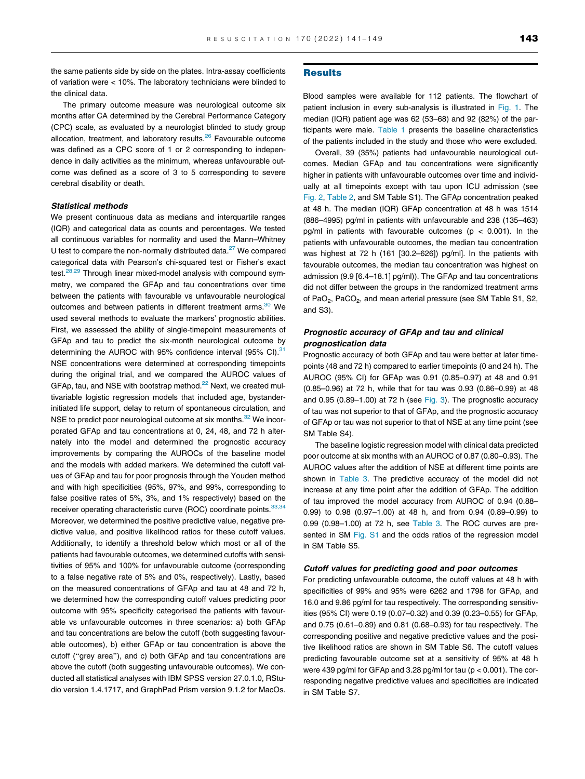the same patients side by side on the plates. Intra-assay coefficients of variation were < 10%. The laboratory technicians were blinded to the clinical data.

The primary outcome measure was neurological outcome six months after CA determined by the Cerebral Performance Category (CPC) scale, as evaluated by a neurologist blinded to study group allocation, treatment, and laboratory results.<sup>[26](#page-8-0)</sup> Favourable outcome was defined as a CPC score of 1 or 2 corresponding to independence in daily activities as the minimum, whereas unfavourable outcome was defined as a score of 3 to 5 corresponding to severe cerebral disability or death.

#### Statistical methods

We present continuous data as medians and interquartile ranges (IQR) and categorical data as counts and percentages. We tested all continuous variables for normality and used the Mann–Whitney U test to compare the non-normally distributed data. $27$  We compared categorical data with Pearson's chi-squared test or Fisher's exact test.<sup>[28,29](#page-8-0)</sup> Through linear mixed-model analysis with compound symmetry, we compared the GFAp and tau concentrations over time between the patients with favourable vs unfavourable neurological outcomes and between patients in different treatment arms.<sup>30</sup> We used several methods to evaluate the markers' prognostic abilities. First, we assessed the ability of single-timepoint measurements of GFAp and tau to predict the six-month neurological outcome by determining the AUROC with 95% confidence interval  $(95\% \text{ Cl})$ .<sup>31</sup> NSE concentrations were determined at corresponding timepoints during the original trial, and we compared the AUROC values of GFAp, tau, and NSE with bootstrap method.<sup>[22](#page-7-0)</sup> Next, we created multivariable logistic regression models that included age, bystanderinitiated life support, delay to return of spontaneous circulation, and NSE to predict poor neurological outcome at six months.<sup>[32](#page-8-0)</sup> We incorporated GFAp and tau concentrations at 0, 24, 48, and 72 h alternately into the model and determined the prognostic accuracy improvements by comparing the AUROCs of the baseline model and the models with added markers. We determined the cutoff values of GFAp and tau for poor prognosis through the Youden method and with high specificities (95%, 97%, and 99%, corresponding to false positive rates of 5%, 3%, and 1% respectively) based on the receiver operating characteristic curve (ROC) coordinate points. 33,34 Moreover, we determined the positive predictive value, negative predictive value, and positive likelihood ratios for these cutoff values. Additionally, to identify a threshold below which most or all of the patients had favourable outcomes, we determined cutoffs with sensitivities of 95% and 100% for unfavourable outcome (corresponding to a false negative rate of 5% and 0%, respectively). Lastly, based on the measured concentrations of GFAp and tau at 48 and 72 h, we determined how the corresponding cutoff values predicting poor outcome with 95% specificity categorised the patients with favourable vs unfavourable outcomes in three scenarios: a) both GFAp and tau concentrations are below the cutoff (both suggesting favourable outcomes), b) either GFAp or tau concentration is above the cutoff ("grey area"), and c) both GFAp and tau concentrations are above the cutoff (both suggesting unfavourable outcomes). We conducted all statistical analyses with IBM SPSS version 27.0.1.0, RStudio version 1.4.1717, and GraphPad Prism version 9.1.2 for MacOs.

#### **Results**

Blood samples were available for 112 patients. The flowchart of patient inclusion in every sub-analysis is illustrated in [Fig. 1](#page-3-0). The median (IQR) patient age was 62 (53–68) and 92 (82%) of the participants were male. [Table 1](#page-3-0) presents the baseline characteristics of the patients included in the study and those who were excluded.

Overall, 39 (35%) patients had unfavourable neurological outcomes. Median GFAp and tau concentrations were significantly higher in patients with unfavourable outcomes over time and individually at all timepoints except with tau upon ICU admission (see [Fig. 2,](#page-4-0) [Table 2,](#page-4-0) and SM Table S1). The GFAp concentration peaked at 48 h. The median (IQR) GFAp concentration at 48 h was 1514 (886–4995) pg/ml in patients with unfavourable and 238 (135–463) pg/ml in patients with favourable outcomes ( $p < 0.001$ ). In the patients with unfavourable outcomes, the median tau concentration was highest at 72 h (161 [30.2–626]) pg/ml]. In the patients with favourable outcomes, the median tau concentration was highest on admission (9.9 [6.4–18.1] pg/ml)). The GFAp and tau concentrations did not differ between the groups in the randomized treatment arms of PaO<sub>2</sub>, PaCO<sub>2</sub>, and mean arterial pressure (see SM Table S1, S2, and S3).

#### Prognostic accuracy of GFAp and tau and clinical prognostication data

Prognostic accuracy of both GFAp and tau were better at later timepoints (48 and 72 h) compared to earlier timepoints (0 and 24 h). The AUROC (95% CI) for GFAp was 0.91 (0.85–0.97) at 48 and 0.91 (0.85–0.96) at 72 h, while that for tau was 0.93 (0.86–0.99) at 48 and 0.95 (0.89–1.00) at 72 h (see [Fig. 3\)](#page-5-0). The prognostic accuracy of tau was not superior to that of GFAp, and the prognostic accuracy of GFAp or tau was not superior to that of NSE at any time point (see SM Table S4).

The baseline logistic regression model with clinical data predicted poor outcome at six months with an AUROC of 0.87 (0.80–0.93). The AUROC values after the addition of NSE at different time points are shown in [Table 3](#page-5-0). The predictive accuracy of the model did not increase at any time point after the addition of GFAp. The addition of tau improved the model accuracy from AUROC of 0.94 (0.88– 0.99) to 0.98 (0.97–1.00) at 48 h, and from 0.94 (0.89–0.99) to 0.99 (0.98–1.00) at 72 h, see [Table 3](#page-5-0). The ROC curves are presented in SM Fig. S1 and the odds ratios of the regression model in SM Table S5.

#### Cutoff values for predicting good and poor outcomes

For predicting unfavourable outcome, the cutoff values at 48 h with specificities of 99% and 95% were 6262 and 1798 for GFAp, and 16.0 and 9.86 pg/ml for tau respectively. The corresponding sensitivities (95% CI) were 0.19 (0.07–0.32) and 0.39 (0.23–0.55) for GFAp, and 0.75 (0.61–0.89) and 0.81 (0.68–0.93) for tau respectively. The corresponding positive and negative predictive values and the positive likelihood ratios are shown in SM Table S6. The cutoff values predicting favourable outcome set at a sensitivity of 95% at 48 h were 439 pg/ml for GFAp and 3.28 pg/ml for tau (p < 0.001). The corresponding negative predictive values and specificities are indicated in SM Table S7.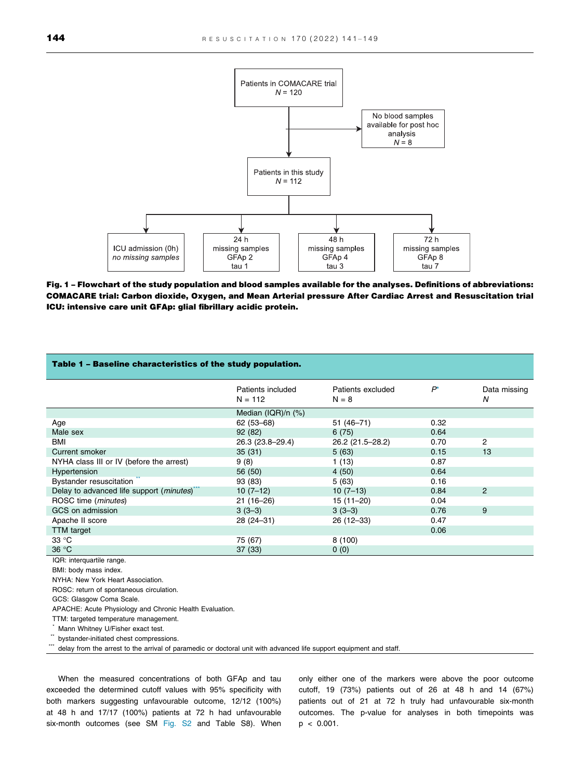<span id="page-3-0"></span>

Fig. 1 – Flowchart of the study population and blood samples available for the analyses. Definitions of abbreviations: COMACARE trial: Carbon dioxide, Oxygen, and Mean Arterial pressure After Cardiac Arrest and Resuscitation trial ICU: intensive care unit GFAp: glial fibrillary acidic protein.

| Table 1 - Baseline characteristics of the study population.                                                        |                                |                              |       |                   |
|--------------------------------------------------------------------------------------------------------------------|--------------------------------|------------------------------|-------|-------------------|
|                                                                                                                    | Patients included<br>$N = 112$ | Patients excluded<br>$N = 8$ | $P^*$ | Data missing<br>N |
|                                                                                                                    | Median (IQR)/n (%)             |                              |       |                   |
| Age                                                                                                                | $62(53 - 68)$                  | 51 (46-71)                   | 0.32  |                   |
| Male sex                                                                                                           | 92 (82)                        | 6(75)                        | 0.64  |                   |
| <b>BMI</b>                                                                                                         | 26.3 (23.8-29.4)               | 26.2 (21.5-28.2)             | 0.70  | $\overline{2}$    |
| Current smoker                                                                                                     | 35(31)                         | 5(63)                        | 0.15  | 13                |
| NYHA class III or IV (before the arrest)                                                                           | 9(8)                           | 1(13)                        | 0.87  |                   |
| Hypertension                                                                                                       | 56 (50)                        | 4(50)                        | 0.64  |                   |
| <b>Bystander resuscitation</b>                                                                                     | 93 (83)                        | 5(63)                        | 0.16  |                   |
| Delay to advanced life support (minutes)                                                                           | $10(7-12)$                     | $10(7-13)$                   | 0.84  | $\overline{2}$    |
| ROSC time (minutes)                                                                                                | $21(16-26)$                    | $15(11-20)$                  | 0.04  |                   |
| GCS on admission                                                                                                   | $3(3-3)$                       | $3(3-3)$                     | 0.76  | 9                 |
| Apache II score                                                                                                    | 28 (24-31)                     | 26 (12-33)                   | 0.47  |                   |
| <b>TTM</b> target                                                                                                  |                                |                              | 0.06  |                   |
| 33 °C                                                                                                              | 75 (67)                        | 8(100)                       |       |                   |
| 36 °C                                                                                                              | 37(33)                         | 0(0)                         |       |                   |
| IQR: interquartile range.                                                                                          |                                |                              |       |                   |
| BMI: body mass index.                                                                                              |                                |                              |       |                   |
| NYHA: New York Heart Association.                                                                                  |                                |                              |       |                   |
| ROSC: return of spontaneous circulation.                                                                           |                                |                              |       |                   |
| GCS: Glasgow Coma Scale.                                                                                           |                                |                              |       |                   |
| APACHE: Acute Physiology and Chronic Health Evaluation.                                                            |                                |                              |       |                   |
| TTM: targeted temperature management.                                                                              |                                |                              |       |                   |
| Mann Whitney U/Fisher exact test.                                                                                  |                                |                              |       |                   |
| bystander-initiated chest compressions.                                                                            |                                |                              |       |                   |
| delay from the arrest to the arrival of paramedic or doctoral unit with advanced life support equipment and staff. |                                |                              |       |                   |
|                                                                                                                    |                                |                              |       |                   |

When the measured concentrations of both GFAp and tau exceeded the determined cutoff values with 95% specificity with both markers suggesting unfavourable outcome, 12/12 (100%) at 48 h and 17/17 (100%) patients at 72 h had unfavourable six-month outcomes (see SM Fig. S2 and Table S8). When

only either one of the markers were above the poor outcome cutoff, 19 (73%) patients out of 26 at 48 h and 14 (67%) patients out of 21 at 72 h truly had unfavourable six-month outcomes. The p-value for analyses in both timepoints was  $p < 0.001$ .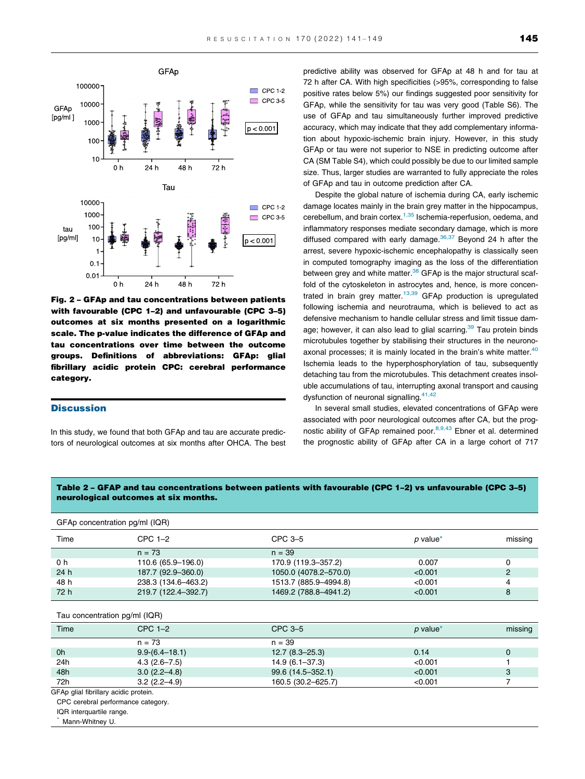<span id="page-4-0"></span>

Fig. 2 – GFAp and tau concentrations between patients with favourable (CPC 1–2) and unfavourable (CPC 3–5) outcomes at six months presented on a logarithmic scale. The p-value indicates the difference of GFAp and tau concentrations over time between the outcome groups. Definitions of abbreviations: GFAp: glial fibrillary acidic protein CPC: cerebral performance category.

#### **Discussion**

In this study, we found that both GFAp and tau are accurate predictors of neurological outcomes at six months after OHCA. The best

predictive ability was observed for GFAp at 48 h and for tau at 72 h after CA. With high specificities (>95%, corresponding to false positive rates below 5%) our findings suggested poor sensitivity for GFAp, while the sensitivity for tau was very good (Table S6). The use of GFAp and tau simultaneously further improved predictive accuracy, which may indicate that they add complementary information about hypoxic-ischemic brain injury. However, in this study GFAp or tau were not superior to NSE in predicting outcome after CA (SM Table S4), which could possibly be due to our limited sample size. Thus, larger studies are warranted to fully appreciate the roles of GFAp and tau in outcome prediction after CA.

Despite the global nature of ischemia during CA, early ischemic damage locates mainly in the brain grey matter in the hippocampus, cerebellum, and brain cortex.<sup>1,35</sup> Ischemia-reperfusion, oedema, and inflammatory responses mediate secondary damage, which is more diffused compared with early damage. $36,37$  Beyond 24 h after the arrest, severe hypoxic-ischemic encephalopathy is classically seen in computed tomography imaging as the loss of the differentiation between grey and white matter.<sup>38</sup> GFAp is the major structural scaffold of the cytoskeleton in astrocytes and, hence, is more concen-trated in brain grey matter.<sup>[13,39](#page-7-0)</sup> GFAp production is upregulated following ischemia and neurotrauma, which is believed to act as defensive mechanism to handle cellular stress and limit tissue damage; however, it can also lead to glial scarring.<sup>39</sup> Tau protein binds microtubules together by stabilising their structures in the neuronoaxonal processes; it is mainly located in the brain's white matter. $40$ Ischemia leads to the hyperphosphorylation of tau, subsequently detaching tau from the microtubules. This detachment creates insoluble accumulations of tau, interrupting axonal transport and causing dysfunction of neuronal signalling. $41,42$ 

In several small studies, elevated concentrations of GFAp were associated with poor neurological outcomes after CA, but the prog-nostic ability of GFAp remained poor.<sup>[8,9,43](#page-7-0)</sup> Ebner et al. determined the prognostic ability of GFAp after CA in a large cohort of 717

Table 2 – GFAP and tau concentrations between patients with favourable (CPC 1–2) vs unfavourable (CPC 3–5) neurological outcomes at six months.

| GFAp concentration pg/ml (IQR) |                     |                       |                 |         |
|--------------------------------|---------------------|-----------------------|-----------------|---------|
| Time                           | CPC $1-2$           | $CPC3-5$              | <i>p</i> value* | missing |
|                                | $n = 73$            | $n = 39$              |                 |         |
| 0 h                            | 110.6 (65.9-196.0)  | 170.9 (119.3-357.2)   | 0.007           | 0       |
| 24h                            | 187.7 (92.9-360.0)  | 1050.0 (4078.2-570.0) | < 0.001         | 2       |
| 48 h                           | 238.3 (134.6-463.2) | 1513.7 (885.9-4994.8) | < 0.001         | 4       |
| 72 h                           | 219.7 (122.4-392.7) | 1469.2 (788.8-4941.2) | < 0.001         | 8       |
|                                |                     |                       |                 |         |

Tau concentration pg/ml (IQR)

| Time | $CPC 1-2$        | CPC 3-5            | p value* | missing |
|------|------------------|--------------------|----------|---------|
|      | $n = 73$         | $n = 39$           |          |         |
| 0h   | $9.9-(6.4-18.1)$ | $12.7(8.3 - 25.3)$ | 0.14     | 0       |
| 24h  | $4.3(2.6 - 7.5)$ | $14.9(6.1 - 37.3)$ | < 0.001  |         |
| 48h  | $3.0(2.2 - 4.8)$ | 99.6 (14.5–352.1)  | < 0.001  | 3       |
| 72h  | $3.2(2.2 - 4.9)$ | 160.5 (30.2-625.7) | < 0.001  |         |

GFAp glial fibrillary acidic protein.

CPC cerebral performance category.

IQR interquartile range.

Mann-Whitney U.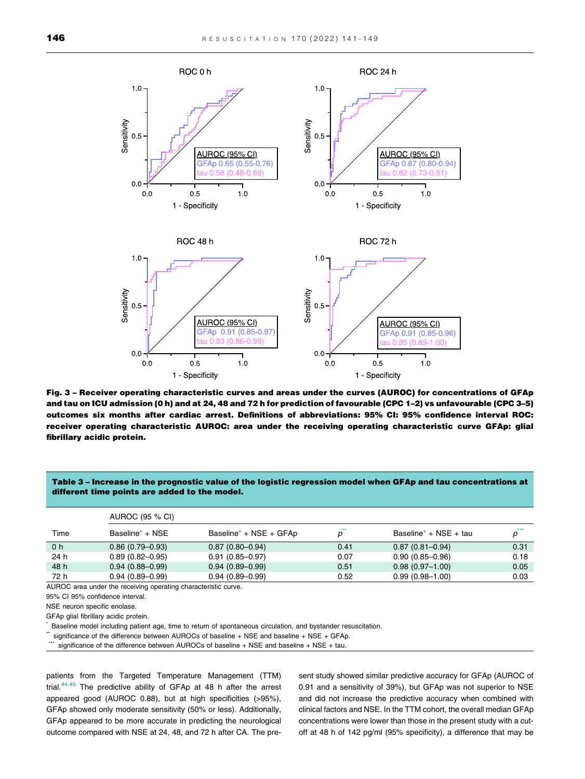<span id="page-5-0"></span>

Fig. 3 – Receiver operating characteristic curves and areas under the curves (AUROC) for concentrations of GFAp and tau on ICU admission (0 h) and at 24, 48 and 72 h for prediction of favourable (CPC 1–2) vs unfavourable (CPC 3–5) outcomes six months after cardiac arrest. Definitions of abbreviations: 95% CI: 95% confidence interval ROC: receiver operating characteristic AUROC: area under the receiving operating characteristic curve GFAp: glial fibrillary acidic protein.

#### Table 3 – Increase in the prognostic value of the logistic regression model when GFAp and tau concentrations at different time points are added to the model.

|                | AUROC (95 % CI)     |                        |      |                                   |      |
|----------------|---------------------|------------------------|------|-----------------------------------|------|
| Time           | Baseline* + NSE     | Baseline* + NSE + GFAp |      | Baseline <sup>*</sup> + NSE + tau | ***  |
| 0 <sub>h</sub> | $0.86(0.79 - 0.93)$ | $0.87(0.80 - 0.94)$    | 0.41 | $0.87(0.81 - 0.94)$               | 0.31 |
| 24 h           | $0.89(0.82 - 0.95)$ | $0.91(0.85 - 0.97)$    | 0.07 | $0.90(0.85 - 0.96)$               | 0.18 |
| 48 h           | $0.94(0.88 - 0.99)$ | $0.94(0.89 - 0.99)$    | 0.51 | $0.98(0.97-1.00)$                 | 0.05 |
| 72 h           | $0.94(0.89 - 0.99)$ | $0.94(0.89 - 0.99)$    | 0.52 | $0.99(0.98 - 1.00)$               | 0.03 |

AUROC area under the receiving operating characteristic curve.

95% CI 95% confidence interval.

NSE neuron specific enolase.

GFAp glial fibrillary acidic protein.

Baseline model including patient age, time to return of spontaneous circulation, and bystander resuscitation.

significance of the difference between AUROCs of baseline + NSE and baseline + NSE + GFAp.

significance of the difference between AUROCs of baseline + NSE and baseline + NSE + tau.

patients from the Targeted Temperature Management (TTM) trial[.44,45](#page-8-0) The predictive ability of GFAp at 48 h after the arrest appeared good (AUROC 0.88), but at high specificities (>95%), GFAp showed only moderate sensitivity (50% or less). Additionally, GFAp appeared to be more accurate in predicting the neurological outcome compared with NSE at 24, 48, and 72 h after CA. The present study showed similar predictive accuracy for GFAp (AUROC of 0.91 and a sensitivity of 39%), but GFAp was not superior to NSE and did not increase the predictive accuracy when combined with clinical factors and NSE. In the TTM cohort, the overall median GFAp concentrations were lower than those in the present study with a cutoff at 48 h of 142 pg/ml (95% specificity), a difference that may be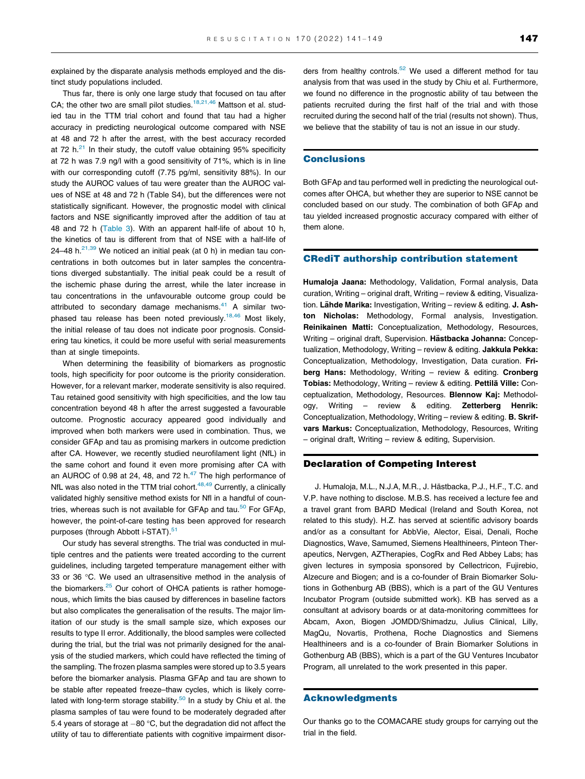explained by the disparate analysis methods employed and the distinct study populations included.

Thus far, there is only one large study that focused on tau after CA; the other two are small pilot studies.<sup>[18,21,46](#page-7-0)</sup> Mattson et al. studied tau in the TTM trial cohort and found that tau had a higher accuracy in predicting neurological outcome compared with NSE at 48 and 72 h after the arrest, with the best accuracy recorded at 72 h. $^{21}$  In their study, the cutoff value obtaining 95% specificity at 72 h was 7.9 ng/l with a good sensitivity of 71%, which is in line with our corresponding cutoff (7.75 pg/ml, sensitivity 88%). In our study the AUROC values of tau were greater than the AUROC values of NSE at 48 and 72 h (Table S4), but the differences were not statistically significant. However, the prognostic model with clinical factors and NSE significantly improved after the addition of tau at 48 and 72 h ([Table 3\)](#page-5-0). With an apparent half-life of about 10 h, the kinetics of tau is different from that of NSE with a half-life of 24–48 h. $21,39$  We noticed an initial peak (at 0 h) in median tau concentrations in both outcomes but in later samples the concentrations diverged substantially. The initial peak could be a result of the ischemic phase during the arrest, while the later increase in tau concentrations in the unfavourable outcome group could be attributed to secondary damage mechanisms. $41$  A similar twophased tau release has been noted previously.<sup>18,46</sup> Most likely, the initial release of tau does not indicate poor prognosis. Considering tau kinetics, it could be more useful with serial measurements than at single timepoints.

When determining the feasibility of biomarkers as prognostic tools, high specificity for poor outcome is the priority consideration. However, for a relevant marker, moderate sensitivity is also required. Tau retained good sensitivity with high specificities, and the low tau concentration beyond 48 h after the arrest suggested a favourable outcome. Prognostic accuracy appeared good individually and improved when both markers were used in combination. Thus, we consider GFAp and tau as promising markers in outcome prediction after CA. However, we recently studied neurofilament light (NfL) in the same cohort and found it even more promising after CA with an AUROC of 0.98 at 24, 48, and 72  $h<sup>47</sup>$  $h<sup>47</sup>$  $h<sup>47</sup>$  The high performance of NfL was also noted in the TTM trial cohort.<sup>48,49</sup> Currently, a clinically validated highly sensitive method exists for Nfl in a handful of countries, whereas such is not available for GFAp and tau. $50$  For GFAp, however, the point-of-care testing has been approved for research purposes (through Abbott i-STAT).<sup>51</sup>

Our study has several strengths. The trial was conducted in multiple centres and the patients were treated according to the current guidelines, including targeted temperature management either with 33 or 36  $\degree$ C. We used an ultrasensitive method in the analysis of the biomarkers.<sup>[25](#page-8-0)</sup> Our cohort of OHCA patients is rather homogenous, which limits the bias caused by differences in baseline factors but also complicates the generalisation of the results. The major limitation of our study is the small sample size, which exposes our results to type II error. Additionally, the blood samples were collected during the trial, but the trial was not primarily designed for the analysis of the studied markers, which could have reflected the timing of the sampling. The frozen plasma samples were stored up to 3.5 years before the biomarker analysis. Plasma GFAp and tau are shown to be stable after repeated freeze–thaw cycles, which is likely correlated with long-term storage stability. $50$  In a study by Chiu et al. the plasma samples of tau were found to be moderately degraded after 5.4 years of storage at  $-80$  °C, but the degradation did not affect the utility of tau to differentiate patients with cognitive impairment disorders from healthy controls.<sup>[52](#page-8-0)</sup> We used a different method for tau analysis from that was used in the study by Chiu et al. Furthermore, we found no difference in the prognostic ability of tau between the patients recruited during the first half of the trial and with those recruited during the second half of the trial (results not shown). Thus, we believe that the stability of tau is not an issue in our study.

#### **Conclusions**

Both GFAp and tau performed well in predicting the neurological outcomes after OHCA, but whether they are superior to NSE cannot be concluded based on our study. The combination of both GFAp and tau yielded increased prognostic accuracy compared with either of them alone.

#### CRediT authorship contribution statement

Humaloja Jaana: Methodology, Validation, Formal analysis, Data curation, Writing – original draft, Writing – review & editing, Visualization. Lähde Marika: Investigation, Writing – review & editing. J. Ashton Nicholas: Methodology, Formal analysis, Investigation. Reinikainen Matti: Conceptualization, Methodology, Resources, Writing – original draft, Supervision. Hästbacka Johanna: Conceptualization, Methodology, Writing – review & editing. Jakkula Pekka: Conceptualization, Methodology, Investigation, Data curation. Friberg Hans: Methodology, Writing – review & editing. Cronberg Tobias: Methodology, Writing – review & editing. Pettilä Ville: Conceptualization, Methodology, Resources. Blennow Kaj: Methodology, Writing – review & editing. Zetterberg Henrik: Conceptualization, Methodology, Writing – review & editing. B. Skrifvars Markus: Conceptualization, Methodology, Resources, Writing – original draft, Writing – review & editing, Supervision.

#### Declaration of Competing Interest

J. Humaloja, M.L., N.J.A, M.R., J. Hästbacka, P.J., H.F., T.C. and V.P. have nothing to disclose. M.B.S. has received a lecture fee and a travel grant from BARD Medical (Ireland and South Korea, not related to this study). H.Z. has served at scientific advisory boards and/or as a consultant for AbbVie, Alector, Eisai, Denali, Roche Diagnostics, Wave, Samumed, Siemens Healthineers, Pinteon Therapeutics, Nervgen, AZTherapies, CogRx and Red Abbey Labs; has given lectures in symposia sponsored by Cellectricon, Fujirebio, Alzecure and Biogen; and is a co-founder of Brain Biomarker Solutions in Gothenburg AB (BBS), which is a part of the GU Ventures Incubator Program (outside submitted work). KB has served as a consultant at advisory boards or at data-monitoring committees for Abcam, Axon, Biogen JOMDD/Shimadzu, Julius Clinical, Lilly, MagQu, Novartis, Prothena, Roche Diagnostics and Siemens Healthineers and is a co-founder of Brain Biomarker Solutions in Gothenburg AB (BBS), which is a part of the GU Ventures Incubator Program, all unrelated to the work presented in this paper.

#### Acknowledgments

Our thanks go to the COMACARE study groups for carrying out the trial in the field.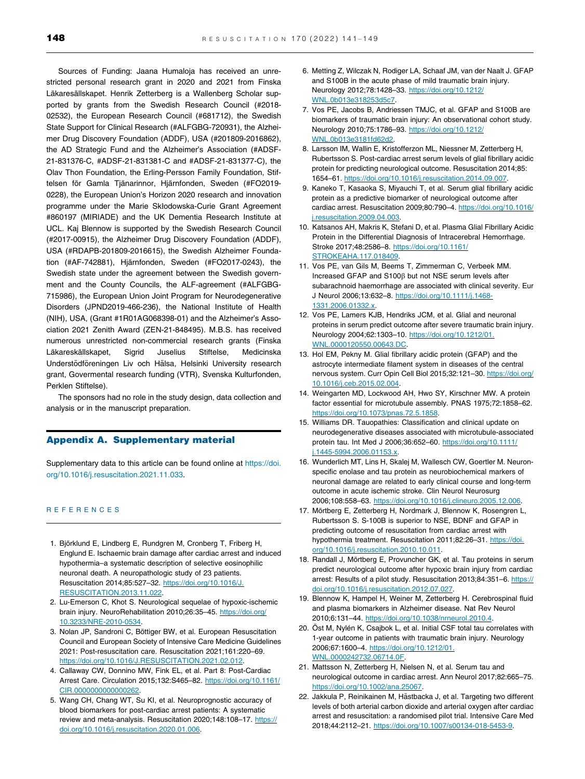<span id="page-7-0"></span>Sources of Funding: Jaana Humaloja has received an unrestricted personal research grant in 2020 and 2021 from Finska Läkaresällskapet. Henrik Zetterberg is a Wallenberg Scholar supported by grants from the Swedish Research Council (#2018- 02532), the European Research Council (#681712), the Swedish State Support for Clinical Research (#ALFGBG-720931), the Alzheimer Drug Discovery Foundation (ADDF), USA (#201809-2016862), the AD Strategic Fund and the Alzheimer's Association (#ADSF-21-831376-C, #ADSF-21-831381-C and #ADSF-21-831377-C), the Olav Thon Foundation, the Erling-Persson Family Foundation, Stiftelsen för Gamla Tjänarinnor, Hjärnfonden, Sweden (#FO2019-0228), the European Union's Horizon 2020 research and innovation programme under the Marie Skłodowska-Curie Grant Agreement #860197 (MIRIADE) and the UK Dementia Research Institute at UCL. Kaj Blennow is supported by the Swedish Research Council (#2017-00915), the Alzheimer Drug Discovery Foundation (ADDF), USA (#RDAPB-201809-2016615), the Swedish Alzheimer Foundation (#AF-742881), Hjärnfonden, Sweden (#FO2017-0243), the Swedish state under the agreement between the Swedish government and the County Councils, the ALF-agreement (#ALFGBG-715986), the European Union Joint Program for Neurodegenerative Disorders (JPND2019-466-236), the National Institute of Health (NIH), USA, (Grant #1R01AG068398-01) and the Alzheimer's Association 2021 Zenith Award (ZEN-21-848495). M.B.S. has received numerous unrestricted non-commercial research grants (Finska Läkareskällskapet, Sigrid Juselius Stiftelse, Medicinska Understödföreningen Liv och Hälsa, Helsinki University research grant, Govermental research funding (VTR), Svenska Kulturfonden, Perklen Stiftelse).

The sponsors had no role in the study design, data collection and analysis or in the manuscript preparation.

#### Appendix A. Supplementary material

Supplementary data to this article can be found online at [https://doi.](https://doi.org/10.1016/j.resuscitation.2021.11.033) [org/10.1016/j.resuscitation.2021.11.033](https://doi.org/10.1016/j.resuscitation.2021.11.033).

#### REFERENCES

- 1. Björklund E, Lindberg E, Rundgren M, Cronberg T, Friberg H, Englund E. Ischaemic brain damage after cardiac arrest and induced hypothermia–a systematic description of selective eosinophilic neuronal death. A neuropathologic study of 23 patients. Resuscitation 2014;85:527–32. [https://doi.org/10.1016/J.](https://doi.org/10.1016/J.RESUSCITATION.2013.11.022) [RESUSCITATION.2013.11.022.](https://doi.org/10.1016/J.RESUSCITATION.2013.11.022)
- 2. Lu-Emerson C, Khot S. Neurological sequelae of hypoxic-ischemic brain injury. NeuroRehabilitation 2010;26:35–45. [https://doi.org/](https://doi.org/10.3233/NRE-2010-0534) [10.3233/NRE-2010-0534](https://doi.org/10.3233/NRE-2010-0534).
- 3. Nolan JP, Sandroni C, Böttiger BW, et al. European Resuscitation Council and European Society of Intensive Care Medicine Guidelines 2021: Post-resuscitation care. Resuscitation 2021;161:220–69. <https://doi.org/10.1016/J.RESUSCITATION.2021.02.012>.
- 4. Callaway CW, Donnino MW, Fink EL, et al. Part 8: Post-Cardiac Arrest Care. Circulation 2015;132:S465–82. [https://doi.org/10.1161/](https://doi.org/10.1161/CIR.0000000000000262) [CIR.0000000000000262.](https://doi.org/10.1161/CIR.0000000000000262)
- 5. Wang CH, Chang WT, Su KI, et al. Neuroprognostic accuracy of blood biomarkers for post-cardiac arrest patients: A systematic review and meta-analysis. Resuscitation 2020;148:108–17. [https://](https://doi.org/10.1016/j.resuscitation.2020.01.006) [doi.org/10.1016/j.resuscitation.2020.01.006.](https://doi.org/10.1016/j.resuscitation.2020.01.006)
- 6. Metting Z, Wilczak N, Rodiger LA, Schaaf JM, van der Naalt J. GFAP and S100B in the acute phase of mild traumatic brain injury. Neurology 2012;78:1428–33. [https://doi.org/10.1212/](https://doi.org/10.1212/WNL.0b013e318253d5c7) [WNL.0b013e318253d5c7](https://doi.org/10.1212/WNL.0b013e318253d5c7).
- 7. Vos PE, Jacobs B, Andriessen TMJC, et al. GFAP and S100B are biomarkers of traumatic brain injury: An observational cohort study. Neurology 2010;75:1786–93. [https://doi.org/10.1212/](https://doi.org/10.1212/WNL.0b013e3181fd62d2) [WNL.0b013e3181fd62d2](https://doi.org/10.1212/WNL.0b013e3181fd62d2).
- 8. Larsson IM, Wallin E, Kristofferzon ML, Niessner M, Zetterberg H, Rubertsson S. Post-cardiac arrest serum levels of glial fibrillary acidic protein for predicting neurological outcome. Resuscitation 2014;85: 1654–61. [https://doi.org/10.1016/j.resuscitation.2014.09.007.](https://doi.org/10.1016/j.resuscitation.2014.09.007)
- 9. Kaneko T, Kasaoka S, Miyauchi T, et al. Serum glial fibrillary acidic protein as a predictive biomarker of neurological outcome after cardiac arrest. Resuscitation 2009;80:790–4. [https://doi.org/10.1016/](https://doi.org/10.1016/j.resuscitation.2009.04.003) [j.resuscitation.2009.04.003.](https://doi.org/10.1016/j.resuscitation.2009.04.003)
- 10. Katsanos AH, Makris K, Stefani D, et al. Plasma Glial Fibrillary Acidic Protein in the Differential Diagnosis of Intracerebral Hemorrhage. Stroke 2017;48:2586–8. [https://doi.org/10.1161/](https://doi.org/10.1161/STROKEAHA.117.018409) [STROKEAHA.117.018409.](https://doi.org/10.1161/STROKEAHA.117.018409)
- 11. Vos PE, van Gils M, Beems T, Zimmerman C, Verbeek MM. Increased GFAP and S100B but not NSE serum levels after subarachnoid haemorrhage are associated with clinical severity. Eur J Neurol 2006;13:632–8. [https://doi.org/10.1111/j.1468-](https://doi.org/10.1111/j.1468-1331.2006.01332.x) [1331.2006.01332.x.](https://doi.org/10.1111/j.1468-1331.2006.01332.x)
- 12. Vos PE, Lamers KJB, Hendriks JCM, et al. Glial and neuronal proteins in serum predict outcome after severe traumatic brain injury. Neurology 2004;62:1303–10. [https://doi.org/10.1212/01.](https://doi.org/10.1212/01.WNL.0000120550.00643.DC) [WNL.0000120550.00643.DC.](https://doi.org/10.1212/01.WNL.0000120550.00643.DC)
- 13. Hol EM, Pekny M. Glial fibrillary acidic protein (GFAP) and the astrocyte intermediate filament system in diseases of the central nervous system. Curr Opin Cell Biol 2015;32:121–30. [https://doi.org/](https://doi.org/10.1016/j.ceb.2015.02.004) [10.1016/j.ceb.2015.02.004](https://doi.org/10.1016/j.ceb.2015.02.004).
- 14. Weingarten MD, Lockwood AH, Hwo SY, Kirschner MW. A protein factor essential for microtubule assembly. PNAS 1975;72:1858–62. [https://doi.org/10.1073/pnas.72.5.1858.](https://doi.org/10.1073/pnas.72.5.1858)
- 15. Williams DR. Tauopathies: Classification and clinical update on neurodegenerative diseases associated with microtubule-associated protein tau. Int Med J 2006;36:652–60. [https://doi.org/10.1111/](https://doi.org/10.1111/j.1445-5994.2006.01153.x) [j.1445-5994.2006.01153.x.](https://doi.org/10.1111/j.1445-5994.2006.01153.x)
- 16. Wunderlich MT, Lins H, Skalej M, Wallesch CW, Goertler M. Neuronspecific enolase and tau protein as neurobiochemical markers of neuronal damage are related to early clinical course and long-term outcome in acute ischemic stroke. Clin Neurol Neurosurg 2006;108:558–63. <https://doi.org/10.1016/j.clineuro.2005.12.006>.
- 17. Mörtberg E, Zetterberg H, Nordmark J, Blennow K, Rosengren L, Rubertsson S. S-100B is superior to NSE, BDNF and GFAP in predicting outcome of resuscitation from cardiac arrest with hypothermia treatment. Resuscitation 2011;82:26–31. [https://doi.](https://doi.org/10.1016/j.resuscitation.2010.10.011) [org/10.1016/j.resuscitation.2010.10.011.](https://doi.org/10.1016/j.resuscitation.2010.10.011)
- 18. Randall J, Mörtberg E, Provuncher GK, et al. Tau proteins in serum predict neurological outcome after hypoxic brain injury from cardiac arrest: Results of a pilot study. Resuscitation 2013;84:351–6. [https://](https://doi.org/10.1016/j.resuscitation.2012.07.027) [doi.org/10.1016/j.resuscitation.2012.07.027.](https://doi.org/10.1016/j.resuscitation.2012.07.027)
- 19. Blennow K, Hampel H, Weiner M, Zetterberg H. Cerebrospinal fluid and plasma biomarkers in Alzheimer disease. Nat Rev Neurol 2010;6:131–44. [https://doi.org/10.1038/nrneurol.2010.4.](https://doi.org/10.1038/nrneurol.2010.4)
- 20. Öst M, Nylén K, Csajbok L, et al. Initial CSF total tau correlates with 1-year outcome in patients with traumatic brain injury. Neurology 2006;67:1600–4. [https://doi.org/10.1212/01.](https://doi.org/10.1212/01.WNL.0000242732.06714.0F) [WNL.0000242732.06714.0F.](https://doi.org/10.1212/01.WNL.0000242732.06714.0F)
- 21. Mattsson N, Zetterberg H, Nielsen N, et al. Serum tau and neurological outcome in cardiac arrest. Ann Neurol 2017;82:665–75. [https://doi.org/10.1002/ana.25067.](https://doi.org/10.1002/ana.25067)
- 22. Jakkula P, Reinikainen M, Hästbacka J, et al. Targeting two different levels of both arterial carbon dioxide and arterial oxygen after cardiac arrest and resuscitation: a randomised pilot trial. Intensive Care Med 2018;44:2112–21. [https://doi.org/10.1007/s00134-018-5453-9.](https://doi.org/10.1007/s00134-018-5453-9)